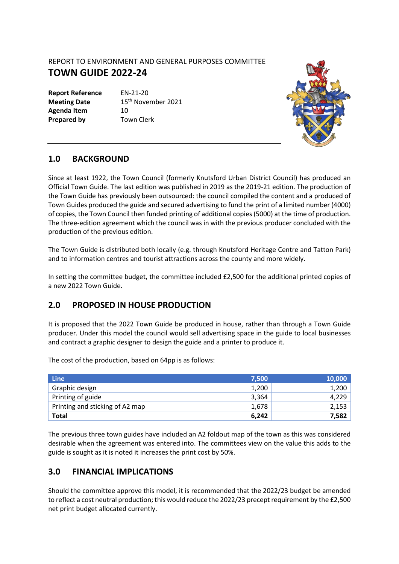## REPORT TO ENVIRONMENT AND GENERAL PURPOSES COMMITTEE **TOWN GUIDE 2022-24**

**Report Reference** EN-21-20 **Agenda Item** 10 **Prepared by Town Clerk** 

**Meeting Date** 15<sup>th</sup> November 2021



### **1.0 BACKGROUND**

Since at least 1922, the Town Council (formerly Knutsford Urban District Council) has produced an Official Town Guide. The last edition was published in 2019 as the 2019-21 edition. The production of the Town Guide has previously been outsourced: the council compiled the content and a produced of Town Guides produced the guide and secured advertising to fund the print of a limited number (4000) of copies, the Town Council then funded printing of additional copies (5000) at the time of production. The three-edition agreement which the council was in with the previous producer concluded with the production of the previous edition.

The Town Guide is distributed both locally (e.g. through Knutsford Heritage Centre and Tatton Park) and to information centres and tourist attractions across the county and more widely.

In setting the committee budget, the committee included £2,500 for the additional printed copies of a new 2022 Town Guide.

### **2.0 PROPOSED IN HOUSE PRODUCTION**

It is proposed that the 2022 Town Guide be produced in house, rather than through a Town Guide producer. Under this model the council would sell advertising space in the guide to local businesses and contract a graphic designer to design the guide and a printer to produce it.

The cost of the production, based on 64pp is as follows:

| <b>Line</b>                     | 7,500 | 10,000 |
|---------------------------------|-------|--------|
| Graphic design                  | 1,200 | 1,200  |
| Printing of guide               | 3,364 |        |
| Printing and sticking of A2 map | 1,678 | 2,153  |
| <b>Total</b>                    | 6,242 | 7,582  |

The previous three town guides have included an A2 foldout map of the town as this was considered desirable when the agreement was entered into. The committees view on the value this adds to the guide is sought as it is noted it increases the print cost by 50%.

### **3.0 FINANCIAL IMPLICATIONS**

Should the committee approve this model, it is recommended that the 2022/23 budget be amended to reflect a cost neutral production; this would reduce the 2022/23 precept requirement by the £2,500 net print budget allocated currently.